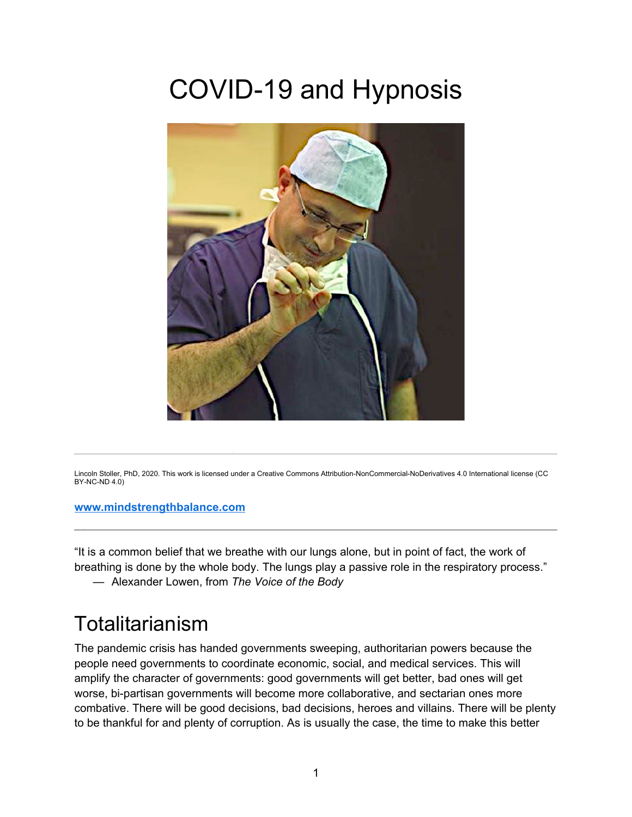# COVID-19 and Hypnosis



Lincoln Stoller, PhD, 2020. This work is licensed under a Creative Commons Attribution-NonCommercial-NoDerivatives 4.0 International license (CC BY-NC-ND 4.0)

#### **www.mindstrengthbalance.com**

l

"It is a common belief that we breathe with our lungs alone, but in point of fact, the work of breathing is done by the whole body. The lungs play a passive role in the respiratory process."

— Alexander Lowen, from *The Voice of the Body*

#### Totalitarianism

The pandemic crisis has handed governments sweeping, authoritarian powers because the people need governments to coordinate economic, social, and medical services. This will amplify the character of governments: good governments will get better, bad ones will get worse, bi-partisan governments will become more collaborative, and sectarian ones more combative. There will be good decisions, bad decisions, heroes and villains. There will be plenty to be thankful for and plenty of corruption. As is usually the case, the time to make this better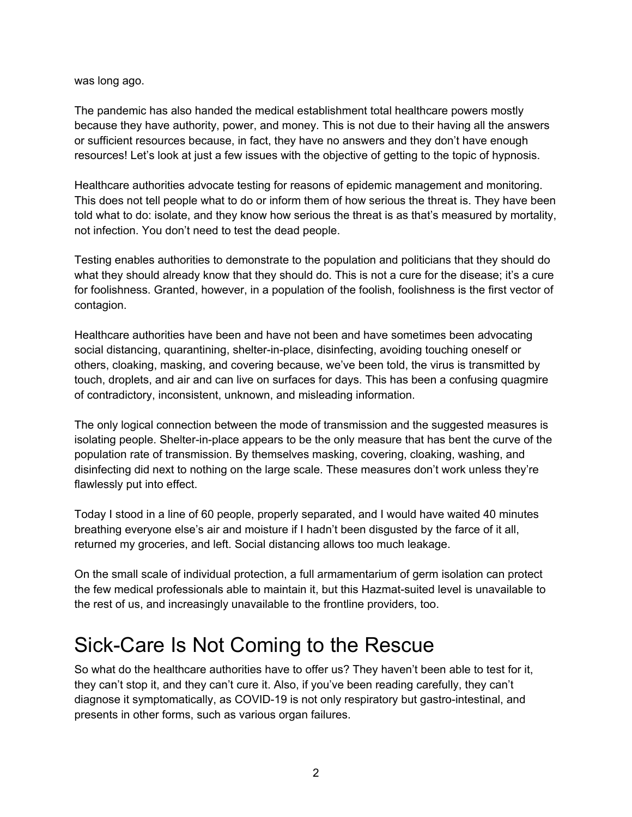was long ago.

The pandemic has also handed the medical establishment total healthcare powers mostly because they have authority, power, and money. This is not due to their having all the answers or sufficient resources because, in fact, they have no answers and they don't have enough resources! Let's look at just a few issues with the objective of getting to the topic of hypnosis.

Healthcare authorities advocate testing for reasons of epidemic management and monitoring. This does not tell people what to do or inform them of how serious the threat is. They have been told what to do: isolate, and they know how serious the threat is as that's measured by mortality, not infection. You don't need to test the dead people.

Testing enables authorities to demonstrate to the population and politicians that they should do what they should already know that they should do. This is not a cure for the disease; it's a cure for foolishness. Granted, however, in a population of the foolish, foolishness is the first vector of contagion.

Healthcare authorities have been and have not been and have sometimes been advocating social distancing, quarantining, shelter-in-place, disinfecting, avoiding touching oneself or others, cloaking, masking, and covering because, we've been told, the virus is transmitted by touch, droplets, and air and can live on surfaces for days. This has been a confusing quagmire of contradictory, inconsistent, unknown, and misleading information.

The only logical connection between the mode of transmission and the suggested measures is isolating people. Shelter-in-place appears to be the only measure that has bent the curve of the population rate of transmission. By themselves masking, covering, cloaking, washing, and disinfecting did next to nothing on the large scale. These measures don't work unless they're flawlessly put into effect.

Today I stood in a line of 60 people, properly separated, and I would have waited 40 minutes breathing everyone else's air and moisture if I hadn't been disgusted by the farce of it all, returned my groceries, and left. Social distancing allows too much leakage.

On the small scale of individual protection, a full armamentarium of germ isolation can protect the few medical professionals able to maintain it, but this Hazmat-suited level is unavailable to the rest of us, and increasingly unavailable to the frontline providers, too.

### Sick-Care Is Not Coming to the Rescue

So what do the healthcare authorities have to offer us? They haven't been able to test for it, they can't stop it, and they can't cure it. Also, if you've been reading carefully, they can't diagnose it symptomatically, as COVID-19 is not only respiratory but gastro-intestinal, and presents in other forms, such as various organ failures.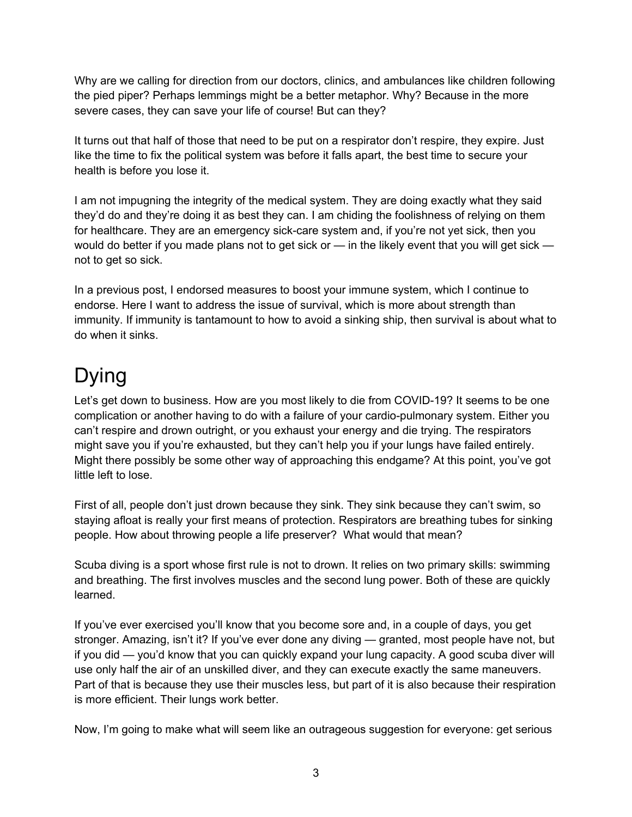Why are we calling for direction from our doctors, clinics, and ambulances like children following the pied piper? Perhaps lemmings might be a better metaphor. Why? Because in the more severe cases, they can save your life of course! But can they?

It turns out that half of those that need to be put on a respirator don't respire, they expire. Just like the time to fix the political system was before it falls apart, the best time to secure your health is before you lose it.

I am not impugning the integrity of the medical system. They are doing exactly what they said they'd do and they're doing it as best they can. I am chiding the foolishness of relying on them for healthcare. They are an emergency sick-care system and, if you're not yet sick, then you would do better if you made plans not to get sick or — in the likely event that you will get sick not to get so sick.

In a previous post, I endorsed measures to boost your immune system, which I continue to endorse. Here I want to address the issue of survival, which is more about strength than immunity. If immunity is tantamount to how to avoid a sinking ship, then survival is about what to do when it sinks.

# Dying

Let's get down to business. How are you most likely to die from COVID-19? It seems to be one complication or another having to do with a failure of your cardio-pulmonary system. Either you can't respire and drown outright, or you exhaust your energy and die trying. The respirators might save you if you're exhausted, but they can't help you if your lungs have failed entirely. Might there possibly be some other way of approaching this endgame? At this point, you've got little left to lose.

First of all, people don't just drown because they sink. They sink because they can't swim, so staying afloat is really your first means of protection. Respirators are breathing tubes for sinking people. How about throwing people a life preserver? What would that mean?

Scuba diving is a sport whose first rule is not to drown. It relies on two primary skills: swimming and breathing. The first involves muscles and the second lung power. Both of these are quickly learned.

If you've ever exercised you'll know that you become sore and, in a couple of days, you get stronger. Amazing, isn't it? If you've ever done any diving — granted, most people have not, but if you did — you'd know that you can quickly expand your lung capacity. A good scuba diver will use only half the air of an unskilled diver, and they can execute exactly the same maneuvers. Part of that is because they use their muscles less, but part of it is also because their respiration is more efficient. Their lungs work better.

Now, I'm going to make what will seem like an outrageous suggestion for everyone: get serious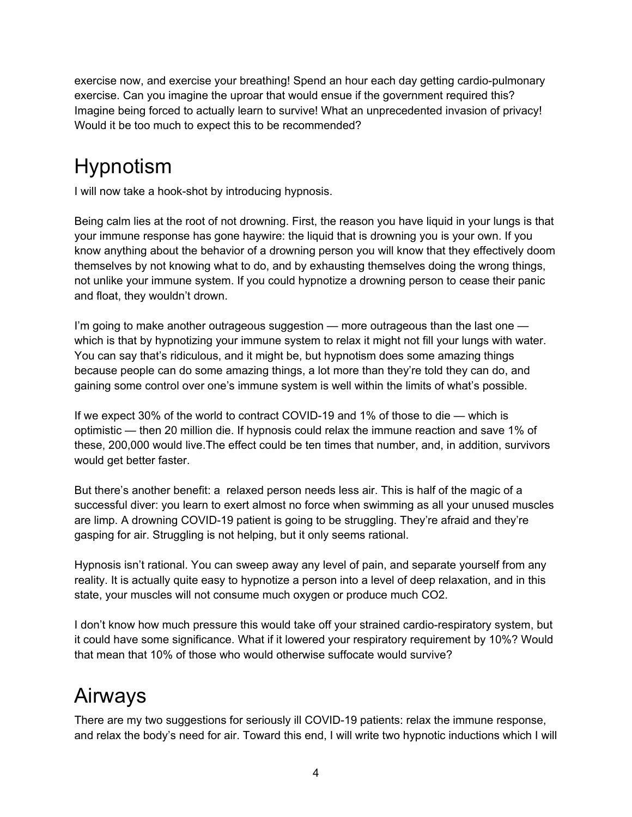exercise now, and exercise your breathing! Spend an hour each day getting cardio-pulmonary exercise. Can you imagine the uproar that would ensue if the government required this? Imagine being forced to actually learn to survive! What an unprecedented invasion of privacy! Would it be too much to expect this to be recommended?

# Hypnotism

I will now take a hook-shot by introducing hypnosis.

Being calm lies at the root of not drowning. First, the reason you have liquid in your lungs is that your immune response has gone haywire: the liquid that is drowning you is your own. If you know anything about the behavior of a drowning person you will know that they effectively doom themselves by not knowing what to do, and by exhausting themselves doing the wrong things, not unlike your immune system. If you could hypnotize a drowning person to cease their panic and float, they wouldn't drown.

I'm going to make another outrageous suggestion — more outrageous than the last one which is that by hypnotizing your immune system to relax it might not fill your lungs with water. You can say that's ridiculous, and it might be, but hypnotism does some amazing things because people can do some amazing things, a lot more than they're told they can do, and gaining some control over one's immune system is well within the limits of what's possible.

If we expect 30% of the world to contract COVID-19 and 1% of those to die — which is optimistic — then 20 million die. If hypnosis could relax the immune reaction and save 1% of these, 200,000 would live.The effect could be ten times that number, and, in addition, survivors would get better faster.

But there's another benefit: a relaxed person needs less air. This is half of the magic of a successful diver: you learn to exert almost no force when swimming as all your unused muscles are limp. A drowning COVID-19 patient is going to be struggling. They're afraid and they're gasping for air. Struggling is not helping, but it only seems rational.

Hypnosis isn't rational. You can sweep away any level of pain, and separate yourself from any reality. It is actually quite easy to hypnotize a person into a level of deep relaxation, and in this state, your muscles will not consume much oxygen or produce much CO2.

I don't know how much pressure this would take off your strained cardio-respiratory system, but it could have some significance. What if it lowered your respiratory requirement by 10%? Would that mean that 10% of those who would otherwise suffocate would survive?

# Airways

There are my two suggestions for seriously ill COVID-19 patients: relax the immune response, and relax the body's need for air. Toward this end, I will write two hypnotic inductions which I will